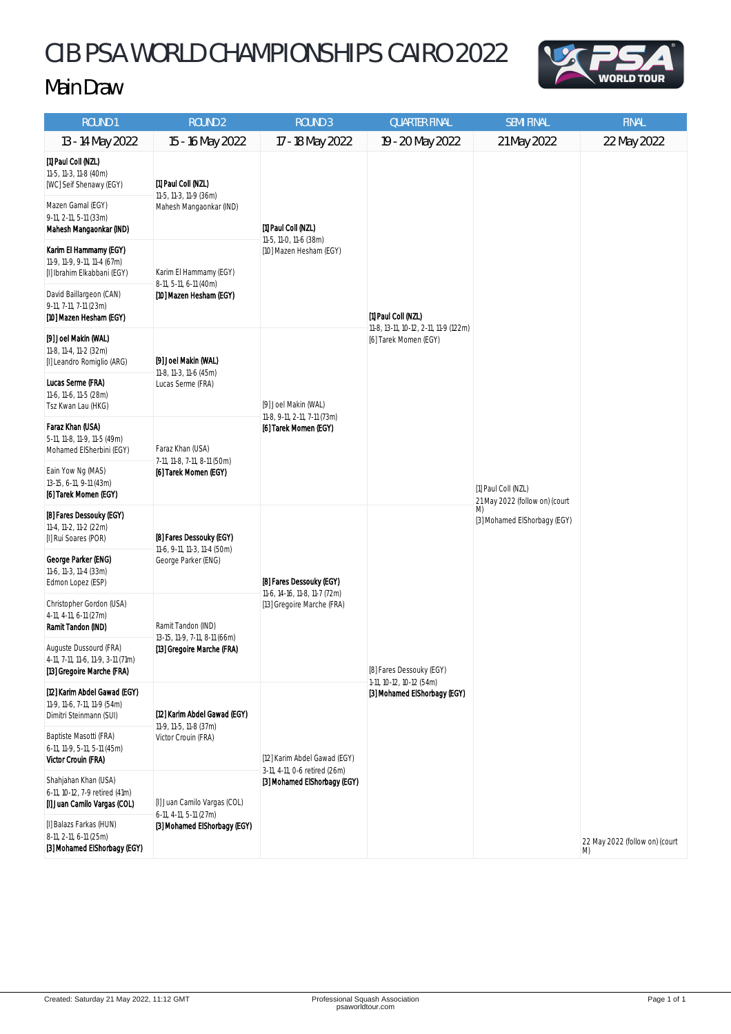## CIB PSA WORLD CHAMPIONSHIPS CAIRO 2022





| ROUND <sub>1</sub>                                                                                                                                 | <b>ROUND 2</b>                                                                         | <b>ROUND 3</b>                                                                                | <b>QUARTER FINAL</b>                                                                  | <b>SEMI FINAL</b>                                                                           | <b>FINAL</b>                         |
|----------------------------------------------------------------------------------------------------------------------------------------------------|----------------------------------------------------------------------------------------|-----------------------------------------------------------------------------------------------|---------------------------------------------------------------------------------------|---------------------------------------------------------------------------------------------|--------------------------------------|
| 13 - 14 May 2022                                                                                                                                   | 15 - 16 May 2022                                                                       | 17 - 18 May 2022                                                                              | 19 - 20 May 2022                                                                      | 21 May 2022                                                                                 | 22 May 2022                          |
| [1] Paul Coll (NZL)<br>11-5, 11-3, 11-8 (40m)<br>[WC] Seif Shenawy (EGY)<br>Mazen Gamal (EGY)<br>9-11, 2-11, 5-11 (33m)<br>Mahesh Mangaonkar (IND) | [1] Paul Coll (NZL)<br>11-5, 11-3, 11-9 (36m)<br>Mahesh Mangaonkar (IND)               | [1] Paul Coll (NZL)<br>11-5, 11-0, 11-6 (38m)<br>[10] Mazen Hesham (EGY)                      | [1] Paul Coll (NZL)<br>11-8, 13-11, 10-12, 2-11, 11-9 (122m)<br>[6] Tarek Momen (EGY) | [1] Paul Coll (NZL)<br>21 May 2022 (follow on) (court<br>M)<br>[3] Mohamed ElShorbagy (EGY) |                                      |
| Karim El Hammamy (EGY)<br>11-9, 11-9, 9-11, 11-4 (67m)<br>[I] Ibrahim Elkabbani (EGY)                                                              | Karim El Hammamy (EGY)<br>8-11, 5-11, 6-11 (40m)<br>[10] Mazen Hesham (EGY)            |                                                                                               |                                                                                       |                                                                                             |                                      |
| David Baillargeon (CAN)<br>9-11, 7-11, 7-11 (23m)<br>[10] Mazen Hesham (EGY)                                                                       |                                                                                        |                                                                                               |                                                                                       |                                                                                             |                                      |
| [9] Joel Makin (WAL)<br>11-8, 11-4, 11-2 (32m)<br>[I] Leandro Romiglio (ARG)                                                                       | [9] Joel Makin (WAL)<br>11-8, 11-3, 11-6 (45m)<br>Lucas Serme (FRA)                    | [9] Joel Makin (WAL)<br>11-8, 9-11, 2-11, 7-11 (73m)<br>[6] Tarek Momen (EGY)                 |                                                                                       |                                                                                             |                                      |
| Lucas Serme (FRA)<br>11-6, 11-6, 11-5 (28m)<br>Tsz Kwan Lau (HKG)                                                                                  |                                                                                        |                                                                                               |                                                                                       |                                                                                             |                                      |
| Faraz Khan (USA)<br>5-11, 11-8, 11-9, 11-5 (49m)<br>Mohamed ElSherbini (EGY)                                                                       | Faraz Khan (USA)<br>7-11, 11-8, 7-11, 8-11 (50m)<br>[6] Tarek Momen (EGY)              |                                                                                               |                                                                                       |                                                                                             |                                      |
| Eain Yow Ng (MAS)<br>13-15, 6-11, 9-11 (43m)<br>[6] Tarek Momen (EGY)                                                                              |                                                                                        |                                                                                               |                                                                                       |                                                                                             |                                      |
| [8] Fares Dessouky (EGY)<br>11-4, 11-2, 11-2 (22m)<br>[I] Rui Soares (POR)                                                                         | [8] Fares Dessouky (EGY)<br>11-6, 9-11, 11-3, 11-4 (50m)<br>George Parker (ENG)        | [8] Fares Dessouky (EGY)<br>11-6, 14-16, 11-8, 11-7 (72m)<br>[13] Gregoire Marche (FRA)       | [8] Fares Dessouky (EGY)<br>1-11, 10-12, 10-12 (54m)<br>[3] Mohamed ElShorbagy (EGY)  |                                                                                             |                                      |
| George Parker (ENG)<br>11-6, 11-3, 11-4 (33m)<br>Edmon Lopez (ESP)                                                                                 |                                                                                        |                                                                                               |                                                                                       |                                                                                             |                                      |
| Christopher Gordon (USA)<br>4-11, 4-11, 6-11 (27m)<br>Ramit Tandon (IND)                                                                           | Ramit Tandon (IND)<br>13-15, 11-9, 7-11, 8-11 (66m)<br>[13] Gregoire Marche (FRA)      |                                                                                               |                                                                                       |                                                                                             |                                      |
| Auguste Dussourd (FRA)<br>4-11, 7-11, 11-6, 11-9, 3-11 (71m)<br>[13] Gregoire Marche (FRA)                                                         |                                                                                        |                                                                                               |                                                                                       |                                                                                             |                                      |
| [12] Karim Abdel Gawad (EGY)<br>11-9, 11-6, 7-11, 11-9 (54m)<br>Dimitri Steinmann (SUI)                                                            | [12] Karim Abdel Gawad (EGY)<br>11-9, 11-5, 11-8 (37m)<br>Victor Crouin (FRA)          | [12] Karim Abdel Gawad (EGY)<br>3-11, 4-11, 0-6 retired (26m)<br>[3] Mohamed ElShorbagy (EGY) |                                                                                       |                                                                                             |                                      |
| Baptiste Masotti (FRA)<br>6-11, 11-9, 5-11, 5-11 (45m)<br><b>Victor Crouin (FRA)</b>                                                               |                                                                                        |                                                                                               |                                                                                       |                                                                                             |                                      |
| Shahjahan Khan (USA)<br>6-11, 10-12, 7-9 retired (41m)<br>[I] Juan Camilo Vargas (COL)                                                             | [I] Juan Camilo Vargas (COL)<br>6-11, 4-11, 5-11 (27m)<br>[3] Mohamed ElShorbagy (EGY) |                                                                                               |                                                                                       |                                                                                             |                                      |
| [I] Balazs Farkas (HUN)<br>8-11, 2-11, 6-11 (25m)<br>[3] Mohamed ElShorbagy (EGY)                                                                  |                                                                                        |                                                                                               |                                                                                       |                                                                                             | 22 May 2022 (follow on) (court<br>M) |